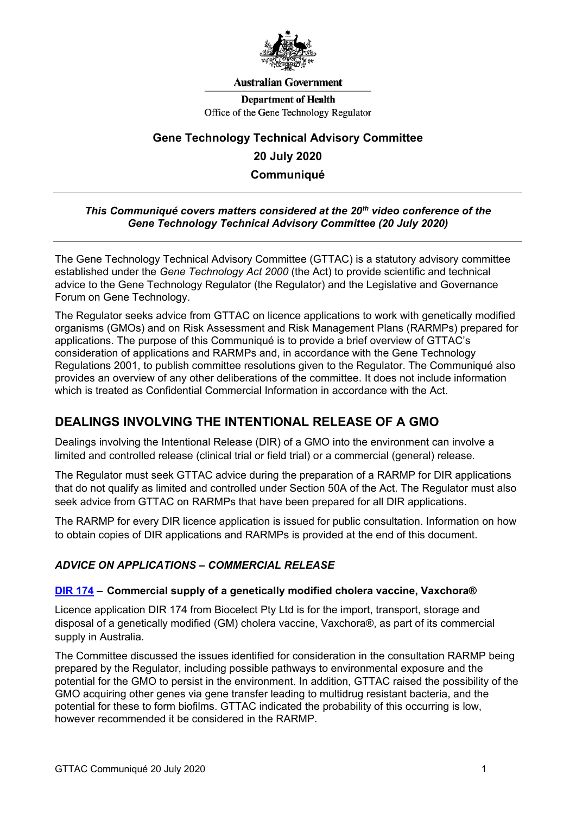

#### **Australian Government**

**Department of Health** Office of the Gene Technology Regulator

# **Gene Technology Technical Advisory Committee 20 July 2020 Communiqué**

#### *This Communiqué covers matters considered at the 20th video conference of the Gene Technology Technical Advisory Committee (20 July 2020)*

The Gene Technology Technical Advisory Committee (GTTAC) is a statutory advisory committee established under the *Gene Technology Act 2000* (the Act) to provide scientific and technical advice to the Gene Technology Regulator (the Regulator) and the Legislative and Governance Forum on Gene Technology.

The Regulator seeks advice from GTTAC on licence applications to work with genetically modified organisms (GMOs) and on Risk Assessment and Risk Management Plans (RARMPs) prepared for applications. The purpose of this Communiqué is to provide a brief overview of GTTAC's consideration of applications and RARMPs and, in accordance with the Gene Technology Regulations 2001, to publish committee resolutions given to the Regulator. The Communiqué also provides an overview of any other deliberations of the committee. It does not include information which is treated as Confidential Commercial Information in accordance with the Act.

## **DEALINGS INVOLVING THE INTENTIONAL RELEASE OF A GMO**

Dealings involving the Intentional Release (DIR) of a GMO into the environment can involve a limited and controlled release (clinical trial or field trial) or a commercial (general) release.

The Regulator must seek GTTAC advice during the preparation of a RARMP for DIR applications that do not qualify as limited and controlled under Section 50A of the Act. The Regulator must also seek advice from GTTAC on RARMPs that have been prepared for all DIR applications.

The RARMP for every DIR licence application is issued for public consultation. Information on how to obtain copies of DIR applications and RARMPs is provided at the end of this document.

## *ADVICE ON APPLICATIONS – COMMERCIAL RELEASE*

#### **[DIR 174](http://www.ogtr.gov.au/internet/ogtr/publishing.nsf/Content/DIR174) – Commercial supply of a genetically modified cholera vaccine, Vaxchora®**

Licence application DIR 174 from Biocelect Pty Ltd is for the import, transport, storage and disposal of a genetically modified (GM) cholera vaccine, Vaxchora®, as part of its commercial supply in Australia.

The Committee discussed the issues identified for consideration in the consultation RARMP being prepared by the Regulator, including possible pathways to environmental exposure and the potential for the GMO to persist in the environment. In addition, GTTAC raised the possibility of the GMO acquiring other genes via gene transfer leading to multidrug resistant bacteria, and the potential for these to form biofilms. GTTAC indicated the probability of this occurring is low, however recommended it be considered in the RARMP.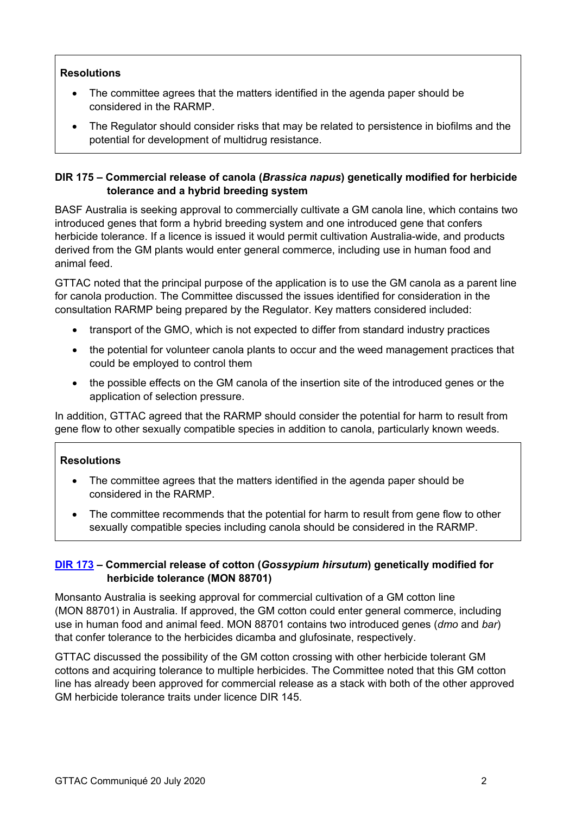## **Resolutions**

- The committee agrees that the matters identified in the agenda paper should be considered in the RARMP.
- The Regulator should consider risks that may be related to persistence in biofilms and the potential for development of multidrug resistance.

## **DIR 175 – Commercial release of canola (***Brassica napus***) genetically modified for herbicide tolerance and a hybrid breeding system**

BASF Australia is seeking approval to commercially cultivate a GM canola line, which contains two introduced genes that form a hybrid breeding system and one introduced gene that confers herbicide tolerance. If a licence is issued it would permit cultivation Australia-wide, and products derived from the GM plants would enter general commerce, including use in human food and animal feed.

GTTAC noted that the principal purpose of the application is to use the GM canola as a parent line for canola production. The Committee discussed the issues identified for consideration in the consultation RARMP being prepared by the Regulator. Key matters considered included:

- transport of the GMO, which is not expected to differ from standard industry practices
- the potential for volunteer canola plants to occur and the weed management practices that could be employed to control them
- the possible effects on the GM canola of the insertion site of the introduced genes or the application of selection pressure.

In addition, GTTAC agreed that the RARMP should consider the potential for harm to result from gene flow to other sexually compatible species in addition to canola, particularly known weeds.

## **Resolutions**

- The committee agrees that the matters identified in the agenda paper should be considered in the RARMP.
- The committee recommends that the potential for harm to result from gene flow to other sexually compatible species including canola should be considered in the RARMP.

## **[DIR 173](http://www.ogtr.gov.au/internet/ogtr/publishing.nsf/Content/DIR173) – Commercial release of cotton (***Gossypium hirsutum***) genetically modified for herbicide tolerance (MON 88701)**

Monsanto Australia is seeking approval for commercial cultivation of a GM cotton line (MON 88701) in Australia. If approved, the GM cotton could enter general commerce, including use in human food and animal feed. MON 88701 contains two introduced genes (*dmo* and *bar*) that confer tolerance to the herbicides dicamba and glufosinate, respectively.

GTTAC discussed the possibility of the GM cotton crossing with other herbicide tolerant GM cottons and acquiring tolerance to multiple herbicides. The Committee noted that this GM cotton line has already been approved for commercial release as a stack with both of the other approved GM herbicide tolerance traits under licence DIR 145.